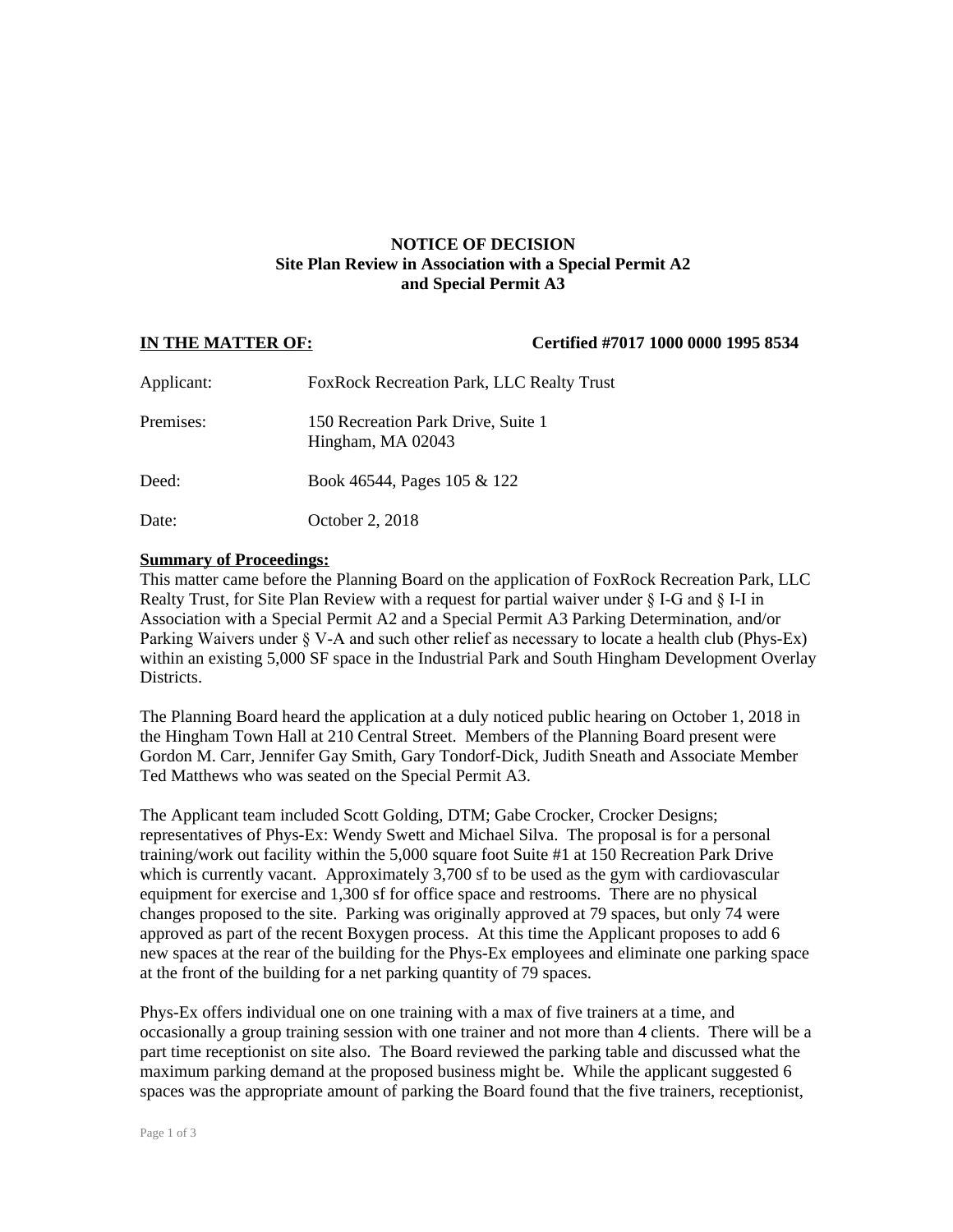# **NOTICE OF DECISION Site Plan Review in Association with a Special Permit A2 and Special Permit A3**

### **IN THE MATTER OF: Certified #7017 1000 0000 1995 8534**

| Applicant: | <b>FoxRock Recreation Park, LLC Realty Trust</b>        |
|------------|---------------------------------------------------------|
| Premises:  | 150 Recreation Park Drive, Suite 1<br>Hingham, MA 02043 |
| Deed:      | Book 46544, Pages 105 & 122                             |
| Date:      | October 2, 2018                                         |

### **Summary of Proceedings:**

This matter came before the Planning Board on the application of FoxRock Recreation Park, LLC Realty Trust, for Site Plan Review with a request for partial waiver under § I-G and § I-I in Association with a Special Permit A2 and a Special Permit A3 Parking Determination, and/or Parking Waivers under § V-A and such other relief as necessary to locate a health club (Phys-Ex) within an existing 5,000 SF space in the Industrial Park and South Hingham Development Overlay Districts.

The Planning Board heard the application at a duly noticed public hearing on October 1, 2018 in the Hingham Town Hall at 210 Central Street. Members of the Planning Board present were Gordon M. Carr, Jennifer Gay Smith, Gary Tondorf-Dick, Judith Sneath and Associate Member Ted Matthews who was seated on the Special Permit A3.

The Applicant team included Scott Golding, DTM; Gabe Crocker, Crocker Designs; representatives of Phys-Ex: Wendy Swett and Michael Silva. The proposal is for a personal training/work out facility within the 5,000 square foot Suite #1 at 150 Recreation Park Drive which is currently vacant. Approximately 3,700 sf to be used as the gym with cardiovascular equipment for exercise and 1,300 sf for office space and restrooms. There are no physical changes proposed to the site. Parking was originally approved at 79 spaces, but only 74 were approved as part of the recent Boxygen process. At this time the Applicant proposes to add 6 new spaces at the rear of the building for the Phys-Ex employees and eliminate one parking space at the front of the building for a net parking quantity of 79 spaces.

Phys-Ex offers individual one on one training with a max of five trainers at a time, and occasionally a group training session with one trainer and not more than 4 clients. There will be a part time receptionist on site also. The Board reviewed the parking table and discussed what the maximum parking demand at the proposed business might be. While the applicant suggested 6 spaces was the appropriate amount of parking the Board found that the five trainers, receptionist,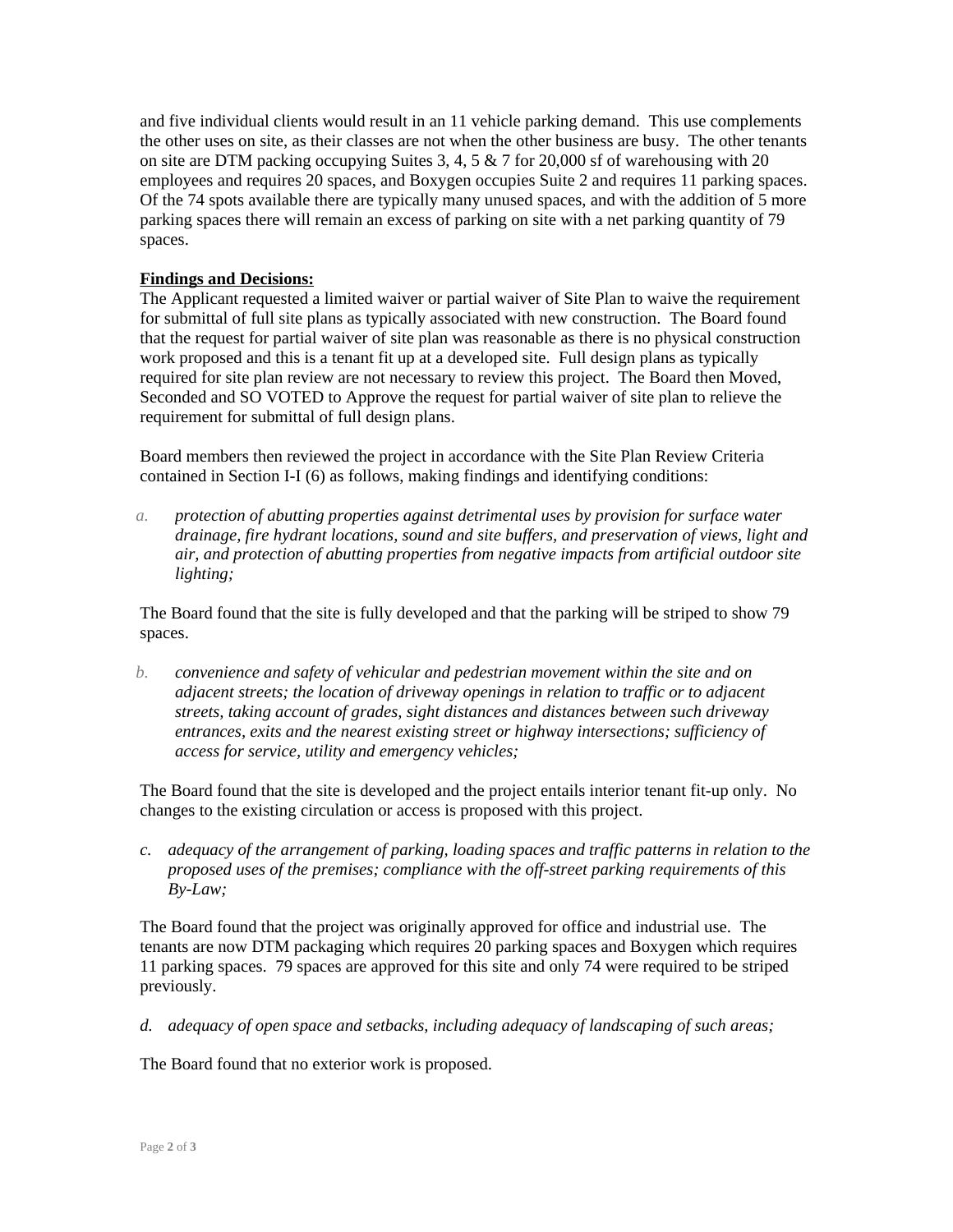and five individual clients would result in an 11 vehicle parking demand. This use complements the other uses on site, as their classes are not when the other business are busy. The other tenants on site are DTM packing occupying Suites 3, 4, 5  $\&$  7 for 20,000 sf of warehousing with 20 employees and requires 20 spaces, and Boxygen occupies Suite 2 and requires 11 parking spaces. Of the 74 spots available there are typically many unused spaces, and with the addition of 5 more parking spaces there will remain an excess of parking on site with a net parking quantity of 79 spaces.

## **Findings and Decisions:**

The Applicant requested a limited waiver or partial waiver of Site Plan to waive the requirement for submittal of full site plans as typically associated with new construction. The Board found that the request for partial waiver of site plan was reasonable as there is no physical construction work proposed and this is a tenant fit up at a developed site. Full design plans as typically required for site plan review are not necessary to review this project. The Board then Moved, Seconded and SO VOTED to Approve the request for partial waiver of site plan to relieve the requirement for submittal of full design plans.

Board members then reviewed the project in accordance with the Site Plan Review Criteria contained in Section I-I (6) as follows, making findings and identifying conditions:

*a. protection of abutting properties against detrimental uses by provision for surface water drainage, fire hydrant locations, sound and site buffers, and preservation of views, light and air, and protection of abutting properties from negative impacts from artificial outdoor site lighting;*

The Board found that the site is fully developed and that the parking will be striped to show 79 spaces.

*b. convenience and safety of vehicular and pedestrian movement within the site and on adjacent streets; the location of driveway openings in relation to traffic or to adjacent streets, taking account of grades, sight distances and distances between such driveway entrances, exits and the nearest existing street or highway intersections; sufficiency of access for service, utility and emergency vehicles;*

The Board found that the site is developed and the project entails interior tenant fit-up only. No changes to the existing circulation or access is proposed with this project.

*c. adequacy of the arrangement of parking, loading spaces and traffic patterns in relation to the proposed uses of the premises; compliance with the off-street parking requirements of this By-Law;*

The Board found that the project was originally approved for office and industrial use. The tenants are now DTM packaging which requires 20 parking spaces and Boxygen which requires 11 parking spaces. 79 spaces are approved for this site and only 74 were required to be striped previously.

*d. adequacy of open space and setbacks, including adequacy of landscaping of such areas;*

The Board found that no exterior work is proposed.